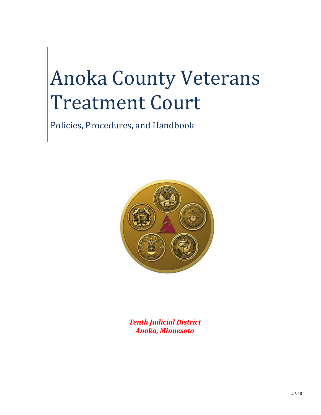# Anoka County Veterans Treatment Court

Policies, Procedures, and Handbook



*Tenth Judicial District Anoka, Minnesota*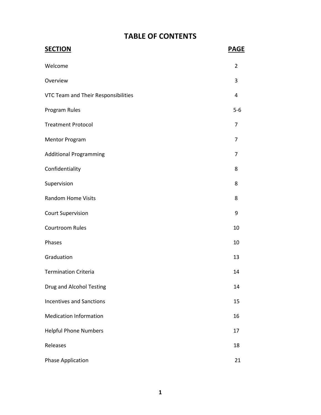# **TABLE OF CONTENTS**

| <b>SECTION</b>                      | <b>PAGE</b>    |
|-------------------------------------|----------------|
| Welcome                             | $\overline{2}$ |
| Overview                            | 3              |
| VTC Team and Their Responsibilities | 4              |
| Program Rules                       | $5-6$          |
| <b>Treatment Protocol</b>           | 7              |
| <b>Mentor Program</b>               | 7              |
| <b>Additional Programming</b>       | 7              |
| Confidentiality                     | 8              |
| Supervision                         | 8              |
| <b>Random Home Visits</b>           | 8              |
| <b>Court Supervision</b>            | 9              |
| Courtroom Rules                     | 10             |
| Phases                              | 10             |
| Graduation                          | 13             |
| <b>Termination Criteria</b>         | 14             |
| Drug and Alcohol Testing            | 14             |
| <b>Incentives and Sanctions</b>     | 15             |
| <b>Medication Information</b>       | 16             |
| <b>Helpful Phone Numbers</b>        | 17             |
| Releases                            | 18             |
| <b>Phase Application</b>            | 21             |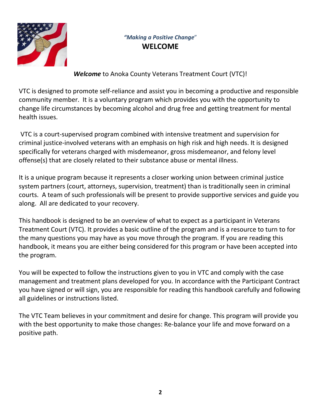

# *"Making a Positive Change*" **WELCOME**

*Welcome* to Anoka County Veterans Treatment Court (VTC)!

VTC is designed to promote self-reliance and assist you in becoming a productive and responsible community member. It is a voluntary program which provides you with the opportunity to change life circumstances by becoming alcohol and drug free and getting treatment for mental health issues.

VTC is a court-supervised program combined with intensive treatment and supervision for criminal justice-involved veterans with an emphasis on high risk and high needs. It is designed specifically for veterans charged with misdemeanor, gross misdemeanor, and felony level offense(s) that are closely related to their substance abuse or mental illness.

It is a unique program because it represents a closer working union between criminal justice system partners (court, attorneys, supervision, treatment) than is traditionally seen in criminal courts. A team of such professionals will be present to provide supportive services and guide you along. All are dedicated to your recovery.

This handbook is designed to be an overview of what to expect as a participant in Veterans Treatment Court (VTC). It provides a basic outline of the program and is a resource to turn to for the many questions you may have as you move through the program. If you are reading this handbook, it means you are either being considered for this program or have been accepted into the program.

You will be expected to follow the instructions given to you in VTC and comply with the case management and treatment plans developed for you. In accordance with the Participant Contract you have signed or will sign, you are responsible for reading this handbook carefully and following all guidelines or instructions listed.

The VTC Team believes in your commitment and desire for change. This program will provide you with the best opportunity to make those changes: Re-balance your life and move forward on a positive path.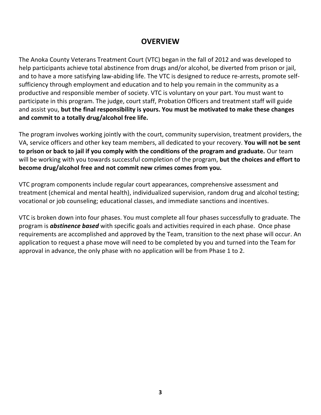# **OVERVIEW**

The Anoka County Veterans Treatment Court (VTC) began in the fall of 2012 and was developed to help participants achieve total abstinence from drugs and/or alcohol, be diverted from prison or jail, and to have a more satisfying law-abiding life. The VTC is designed to reduce re-arrests, promote selfsufficiency through employment and education and to help you remain in the community as a productive and responsible member of society. VTC is voluntary on your part. You must want to participate in this program. The judge, court staff, Probation Officers and treatment staff will guide and assist you, **but the final responsibility is yours. You must be motivated to make these changes and commit to a totally drug/alcohol free life.**

The program involves working jointly with the court, community supervision, treatment providers, the VA, service officers and other key team members, all dedicated to your recovery. **You will not be sent to prison or back to jail if you comply with the conditions of the program and graduate.** Our team will be working with you towards successful completion of the program, **but the choices and effort to become drug/alcohol free and not commit new crimes comes from you.**

VTC program components include regular court appearances, comprehensive assessment and treatment (chemical and mental health), individualized supervision, random drug and alcohol testing; vocational or job counseling; educational classes, and immediate sanctions and incentives.

VTC is broken down into four phases. You must complete all four phases successfully to graduate. The program is *abstinence based* with specific goals and activities required in each phase. Once phase requirements are accomplished and approved by the Team, transition to the next phase will occur. An application to request a phase move will need to be completed by you and turned into the Team for approval in advance, the only phase with no application will be from Phase 1 to 2.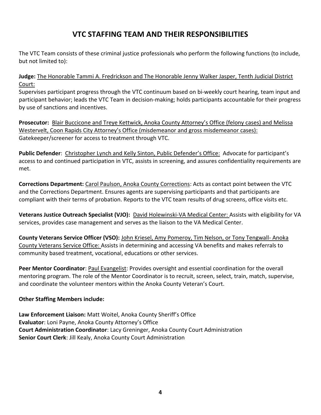# **VTC STAFFING TEAM AND THEIR RESPONSIBILITIES**

The VTC Team consists of these criminal justice professionals who perform the following functions (to include, but not limited to):

**Judge:** The Honorable Tammi A. Fredrickson and The Honorable Jenny Walker Jasper, Tenth Judicial District Court:

Supervises participant progress through the VTC continuum based on bi-weekly court hearing, team input and participant behavior; leads the VTC Team in decision-making; holds participants accountable for their progress by use of sanctions and incentives.

**Prosecutor:** Blair Buccicone and Treye Kettwick, Anoka County Attorney's Office (felony cases) and Melissa Westervelt, Coon Rapids City Attorney's Office (misdemeanor and gross misdemeanor cases): Gatekeeper/screener for access to treatment through VTC.

**Public Defender**: Christopher Lynch and Kelly Sinton, Public Defender's Office: Advocate for participant's access to and continued participation in VTC, assists in screening, and assures confidentiality requirements are met.

**Corrections Department:** Carol Paulson, Anoka County Corrections: Acts as contact point between the VTC and the Corrections Department. Ensures agents are supervising participants and that participants are compliant with their terms of probation. Reports to the VTC team results of drug screens, office visits etc.

**Veterans Justice Outreach Specialist (VJO):** David Holewinski-VA Medical Center: Assists with eligibility for VA services, provides case management and serves as the liaison to the VA Medical Center.

**County Veterans Service Officer (VSO):** John Kriesel, Amy Pomeroy, Tim Nelson, or Tony Tengwall- Anoka County Veterans Service Office: Assists in determining and accessing VA benefits and makes referrals to community based treatment, vocational, educations or other services.

**Peer Mentor Coordinator**: Paul Evangelist: Provides oversight and essential coordination for the overall mentoring program. The role of the Mentor Coordinator is to recruit, screen, select, train, match, supervise, and coordinate the volunteer mentors within the Anoka County Veteran's Court.

#### **Other Staffing Members include:**

**Law Enforcement Liaison:** Matt Woitel, Anoka County Sheriff's Office **Evaluator**: Loni Payne, Anoka County Attorney's Office **Court Administration Coordinator**: Lacy Greninger, Anoka County Court Administration **Senior Court Clerk**: Jill Kealy, Anoka County Court Administration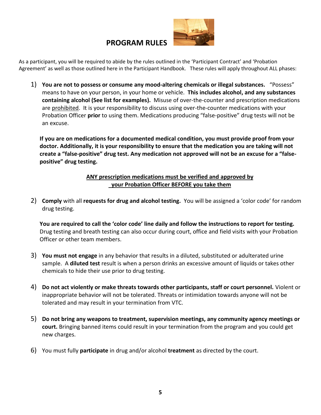### **PROGRAM RULES**



As a participant, you will be required to abide by the rules outlined in the 'Participant Contract' and 'Probation Agreement' as well as those outlined here in the Participant Handbook. These rules will apply throughout ALL phases:

1) **You are not to possess or consume any mood-altering chemicals or illegal substances.** "Possess" means to have on your person, in your home or vehicle. **This includes alcohol, and any substances containing alcohol (See list for examples).** Misuse of over-the-counter and prescription medications are prohibited. It is your responsibility to discuss using over-the-counter medications with your Probation Officer **prior** to using them. Medications producing "false-positive" drug tests will not be an excuse.

**If you are on medications for a documented medical condition, you must provide proof from your doctor. Additionally, it is your responsibility to ensure that the medication you are taking will not create a "false-positive" drug test. Any medication not approved will not be an excuse for a "falsepositive" drug testing.**

#### **ANY prescription medications must be verified and approved by your Probation Officer BEFORE you take them**

2) **Comply** with all **requests for drug and alcohol testing.** You will be assigned a 'color code' for random drug testing.

**You are required to call the 'color code' line daily and follow the instructions to report for testing.**  Drug testing and breath testing can also occur during court, office and field visits with your Probation Officer or other team members.

- 3) **You must not engage** in any behavior that results in a diluted, substituted or adulterated urine sample. A **diluted test** result is when a person drinks an excessive amount of liquids or takes other chemicals to hide their use prior to drug testing.
- 4) **Do not act violently or make threats towards other participants, staff or court personnel.** Violent or inappropriate behavior will not be tolerated. Threats or intimidation towards anyone will not be tolerated and may result in your termination from VTC.
- 5) **Do not bring any weapons to treatment, supervision meetings, any community agency meetings or court.** Bringing banned items could result in your termination from the program and you could get new charges.
- 6) You must fully **participate** in drug and/or alcohol **treatment** as directed by the court.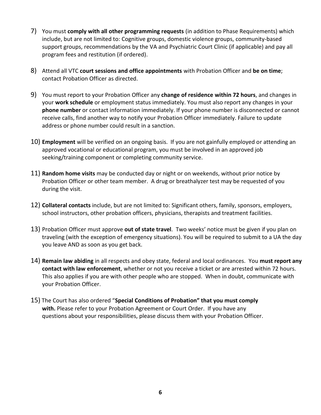- 7) You must **comply with all other programming requests** (in addition to Phase Requirements) which include, but are not limited to: Cognitive groups, domestic violence groups, community-based support groups, recommendations by the VA and Psychiatric Court Clinic (if applicable) and pay all program fees and restitution (if ordered).
- 8) Attend all VTC **court sessions and office appointments** with Probation Officer and **be on time**; contact Probation Officer as directed.
- 9) You must report to your Probation Officer any **change of residence within 72 hours**, and changes in your **work schedule** or employment status immediately. You must also report any changes in your **phone number** or contact information immediately. If your phone number is disconnected or cannot receive calls, find another way to notify your Probation Officer immediately. Failure to update address or phone number could result in a sanction.
- 10) **Employment** will be verified on an ongoing basis. If you are not gainfully employed or attending an approved vocational or educational program, you must be involved in an approved job seeking/training component or completing community service.
- 11) **Random home visits** may be conducted day or night or on weekends, without prior notice by Probation Officer or other team member. A drug or breathalyzer test may be requested of you during the visit.
- 12) **Collateral contacts** include, but are not limited to: Significant others, family, sponsors, employers, school instructors, other probation officers, physicians, therapists and treatment facilities.
- 13) Probation Officer must approve **out of state travel**. Two weeks' notice must be given if you plan on traveling (with the exception of emergency situations). You will be required to submit to a UA the day you leave AND as soon as you get back.
- 14) **Remain law abiding** in all respects and obey state, federal and local ordinances. You **must report any contact with law enforcement**, whether or not you receive a ticket or are arrested within 72 hours. This also applies if you are with other people who are stopped. When in doubt, communicate with your Probation Officer.
- 15) The Court has also ordered "**Special Conditions of Probation" that you must comply with.** Please refer to your Probation Agreement or Court Order. If you have any questions about your responsibilities, please discuss them with your Probation Officer.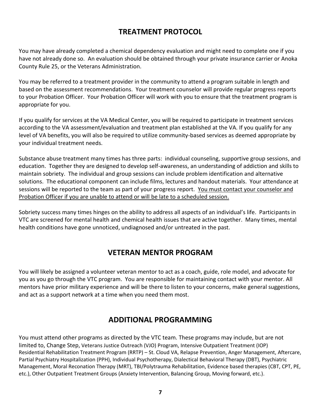# **TREATMENT PROTOCOL**

You may have already completed a chemical dependency evaluation and might need to complete one if you have not already done so. An evaluation should be obtained through your private insurance carrier or Anoka County Rule 25, or the Veterans Administration.

You may be referred to a treatment provider in the community to attend a program suitable in length and based on the assessment recommendations. Your treatment counselor will provide regular progress reports to your Probation Officer. Your Probation Officer will work with you to ensure that the treatment program is appropriate for you.

If you qualify for services at the VA Medical Center, you will be required to participate in treatment services according to the VA assessment/evaluation and treatment plan established at the VA. If you qualify for any level of VA benefits, you will also be required to utilize community-based services as deemed appropriate by your individual treatment needs.

Substance abuse treatment many times has three parts: individual counseling, supportive group sessions, and education. Together they are designed to develop self-awareness, an understanding of addiction and skills to maintain sobriety. The individual and group sessions can include problem identification and alternative solutions. The educational component can include films, lectures and handout materials. Your attendance at sessions will be reported to the team as part of your progress report. You must contact your counselor and Probation Officer if you are unable to attend or will be late to a scheduled session.

Sobriety success many times hinges on the ability to address all aspects of an individual's life. Participants in VTC are screened for mental health and chemical health issues that are active together. Many times, mental health conditions have gone unnoticed, undiagnosed and/or untreated in the past.

# **VETERAN MENTOR PROGRAM**

You will likely be assigned a volunteer veteran mentor to act as a coach, guide, role model, and advocate for you as you go through the VTC program. You are responsible for maintaining contact with your mentor. All mentors have prior military experience and will be there to listen to your concerns, make general suggestions, and act as a support network at a time when you need them most.

# **ADDITIONAL PROGRAMMING**

You must attend other programs as directed by the VTC team. These programs may include, but are not limited to, Change Step, Veterans Justice Outreach (VJO) Program, Intensive Outpatient Treatment (IOP) Residential Rehabilitation Treatment Program (RRTP) – St. Cloud VA, Relapse Prevention, Anger Management, Aftercare, Partial Psychiatry Hospitalization (PPH), Individual Psychotherapy, Dialectical Behavioral Therapy (DBT), Psychiatric Management, Moral Reconation Therapy (MRT), TBI/Polytrauma Rehabilitation, Evidence based therapies (CBT, CPT, PE, etc.), Other Outpatient Treatment Groups (Anxiety Intervention, Balancing Group, Moving forward, etc.).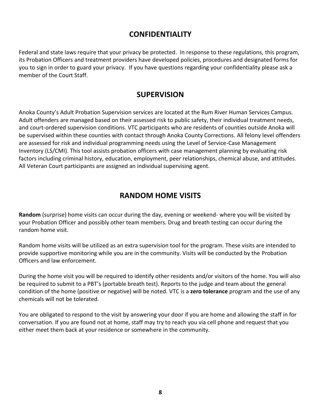# **CONFIDENTIALITY**

Federal and state laws require that your privacy be protected. In response to these regulations, this program, its Probation Officers and treatment providers have developed policies, procedures and designated forms for you to sign in order to guard your privacy. If you have questions regarding your confidentiality please ask a member of the Court Staff.

# **SUPERVISION**

Anoka County's Adult Probation Supervision services are located at the Rum River Human Services Campus. Adult offenders are managed based on their assessed risk to public safety, their individual treatment needs, and court-ordered supervision conditions. VTC participants who are residents of counties outside Anoka will be supervised within these counties with contact through Anoka County Corrections. All felony level offenders are assessed for risk and individual programming needs using the Level of Service-Case Management Inventory (LS/CMI). This tool assists probation officers with case management planning by evaluating risk factors including criminal history, education, employment, peer relationships, chemical abuse, and attitudes. All Veteran Court participants are assigned an individual supervising agent.

# **RANDOM HOME VISITS**

**Random** (surprise) home visits can occur during the day, evening or weekend- where you will be visited by your Probation Officer and possibly other team members. Drug and breath testing can occur during the random home visit.

Random home visits will be utilized as an extra supervision tool for the program. These visits are intended to provide supportive monitoring while you are in the community. Visits will be conducted by the Probation Officers and law enforcement.

During the home visit you will be required to identify other residents and/or visitors of the home. You will also be required to submit to a PBT's (portable breath test). Reports to the judge and team about the general condition of the home (positive or negative) will be noted. VTC is a **zero tolerance** program and the use of any chemicals will not be tolerated.

You are obligated to respond to the visit by answering your door if you are home and allowing the staff in for conversation. If you are found not at home, staff may try to reach you via cell phone and request that you either meet them back at your residence or somewhere in the community.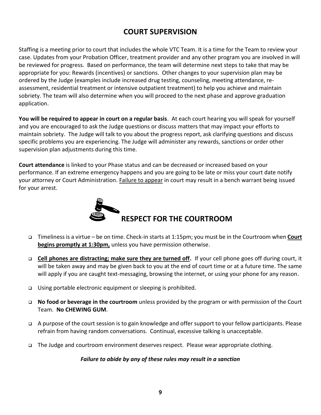# **COURT SUPERVISION**

Staffing is a meeting prior to court that includes the whole VTC Team. It is a time for the Team to review your case. Updates from your Probation Officer, treatment provider and any other program you are involved in will be reviewed for progress. Based on performance, the team will determine next steps to take that may be appropriate for you: Rewards (incentives) or sanctions. Other changes to your supervision plan may be ordered by the Judge (examples include increased drug testing, counseling, meeting attendance, reassessment, residential treatment or intensive outpatient treatment) to help you achieve and maintain sobriety. The team will also determine when you will proceed to the next phase and approve graduation application.

**You will be required to appear in court on a regular basis**. At each court hearing you will speak for yourself and you are encouraged to ask the Judge questions or discuss matters that may impact your efforts to maintain sobriety. The Judge will talk to you about the progress report, ask clarifying questions and discuss specific problems you are experiencing. The Judge will administer any rewards, sanctions or order other supervision plan adjustments during this time.

**Court attendance** is linked to your Phase status and can be decreased or increased based on your performance. If an extreme emergency happens and you are going to be late or miss your court date notify your attorney or Court Administration. **Failure to appear** in court may result in a bench warrant being issued for your arrest.



- Timeliness is a virtue be on time. Check-in starts at 1:15pm; you must be in the Courtroom when **Court begins promptly at 1:30pm,** unless you have permission otherwise.
- **Cell phones are distracting; make sure they are turned off.** If your cell phone goes off during court, it will be taken away and may be given back to you at the end of court time or at a future time. The same will apply if you are caught text-messaging, browsing the internet, or using your phone for any reason.
- Using portable electronic equipment or sleeping is prohibited.
- **No food or beverage in the courtroom** unless provided by the program or with permission of the Court Team. **No CHEWING GUM**.
- A purpose of the court session is to gain knowledge and offer support to your fellow participants. Please refrain from having random conversations. Continual, excessive talking is unacceptable.
- The Judge and courtroom environment deserves respect. Please wear appropriate clothing.

*Failure to abide by any of these rules may result in a sanction*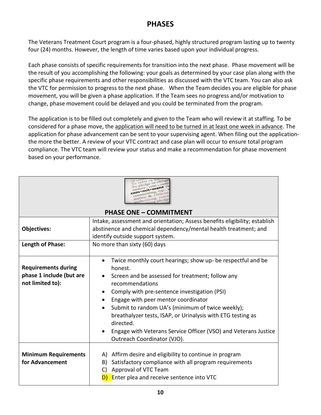# **PHASES**

The Veterans Treatment Court program is a four-phased, highly structured program lasting up to twenty four (24) months. However, the length of time varies based upon your individual progress.

Each phase consists of specific requirements for transition into the next phase. Phase movement will be the result of you accomplishing the following: your goals as determined by your case plan along with the specific phase requirements and other responsibilities as discussed with the VTC team. You can also ask the VTC for permission to progress to the next phase. When the Team decides you are eligible for phase movement, you will be given a phase application. If the Team sees no progress and/or motivation to change, phase movement could be delayed and you could be terminated from the program.

The application is to be filled out completely and given to the Team who will review it at staffing. To be considered for a phase move, the application will need to be turned in at least one week in advance. The application for phase advancement can be sent to your supervising agent. When filing out the applicationthe more the better. A review of your VTC contract and case plan will occur to ensure total program compliance. The VTC team will review your status and make a recommendation for phase movement based on your performance.

| tiere : com-, com                                                          |                                                                                                                                                                                                                                                                                                                                                                                                                                                                                                  |  |
|----------------------------------------------------------------------------|--------------------------------------------------------------------------------------------------------------------------------------------------------------------------------------------------------------------------------------------------------------------------------------------------------------------------------------------------------------------------------------------------------------------------------------------------------------------------------------------------|--|
| <b>PHASE ONE - COMMITMENT</b>                                              |                                                                                                                                                                                                                                                                                                                                                                                                                                                                                                  |  |
|                                                                            | Intake, assessment and orientation; Assess benefits eligibility; establish                                                                                                                                                                                                                                                                                                                                                                                                                       |  |
| <b>Objectives:</b>                                                         | abstinence and chemical dependency/mental health treatment; and                                                                                                                                                                                                                                                                                                                                                                                                                                  |  |
|                                                                            | identify outside support system.                                                                                                                                                                                                                                                                                                                                                                                                                                                                 |  |
| Length of Phase:                                                           | No more than sixty (60) days                                                                                                                                                                                                                                                                                                                                                                                                                                                                     |  |
| <b>Requirements during</b><br>phase 1 include (but are<br>not limited to): | Twice monthly court hearings; show up- be respectful and be<br>$\bullet$<br>honest.<br>Screen and be assessed for treatment; follow any<br>recommendations<br>Comply with pre-sentence investigation (PSI)<br>Engage with peer mentor coordinator<br>Submit to random UA's (minimum of twice weekly);<br>$\bullet$<br>breathalyzer tests, ISAP, or Urinalysis with ETG testing as<br>directed.<br>Engage with Veterans Service Officer (VSO) and Veterans Justice<br>Outreach Coordinator (VJO). |  |
| <b>Minimum Requirements</b><br>for Advancement                             | A) Affirm desire and eligibility to continue in program<br>Satisfactory compliance with all program requirements<br>B)<br>Approval of VTC Team<br>C)<br>Enter plea and receive sentence into VTC                                                                                                                                                                                                                                                                                                 |  |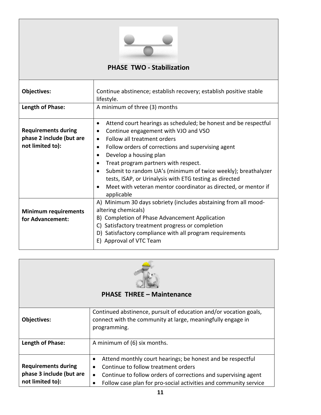

#### **PHASE TWO - Stabilization**

| <b>Objectives:</b>                                                         | Continue abstinence; establish recovery; establish positive stable<br>lifestyle.                                                                                                                                                                                                                                                                                                                                                                                           |
|----------------------------------------------------------------------------|----------------------------------------------------------------------------------------------------------------------------------------------------------------------------------------------------------------------------------------------------------------------------------------------------------------------------------------------------------------------------------------------------------------------------------------------------------------------------|
| Length of Phase:                                                           | A minimum of three (3) months                                                                                                                                                                                                                                                                                                                                                                                                                                              |
| <b>Requirements during</b><br>phase 2 include (but are<br>not limited to): | Attend court hearings as scheduled; be honest and be respectful<br>Continue engagement with VJO and VSO<br>Follow all treatment orders<br>Follow orders of corrections and supervising agent<br>Develop a housing plan<br>Treat program partners with respect.<br>Submit to random UA's (minimum of twice weekly); breathalyzer<br>tests, ISAP, or Urinalysis with ETG testing as directed<br>Meet with veteran mentor coordinator as directed, or mentor if<br>applicable |
| <b>Minimum requirements</b><br>for Advancement:                            | A) Minimum 30 days sobriety (includes abstaining from all mood-<br>altering chemicals)<br>B) Completion of Phase Advancement Application<br>Satisfactory treatment progress or completion<br>D) Satisfactory compliance with all program requirements<br>E) Approval of VTC Team                                                                                                                                                                                           |



#### **PHASE THREE – Maintenance**

| <b>Objectives:</b>         | Continued abstinence, pursuit of education and/or vocation goals,<br>connect with the community at large, meaningfully engage in<br>programming. |
|----------------------------|--------------------------------------------------------------------------------------------------------------------------------------------------|
| Length of Phase:           | A minimum of (6) six months.                                                                                                                     |
|                            |                                                                                                                                                  |
|                            | Attend monthly court hearings; be honest and be respectful<br>$\bullet$                                                                          |
| <b>Requirements during</b> | Continue to follow treatment orders<br>$\bullet$                                                                                                 |
| phase 3 include (but are   | Continue to follow orders of corrections and supervising agent<br>$\bullet$                                                                      |
| not limited to):           | Follow case plan for pro-social activities and community service                                                                                 |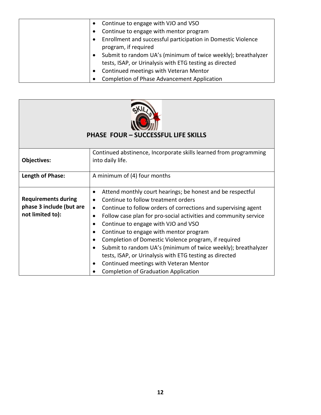| Continue to engage with VJO and VSO<br>$\bullet$                                                                                      |
|---------------------------------------------------------------------------------------------------------------------------------------|
| Continue to engage with mentor program<br>$\bullet$                                                                                   |
| Enrollment and successful participation in Domestic Violence<br>$\bullet$<br>program, if required                                     |
| Submit to random UA's (minimum of twice weekly); breathalyzer<br>$\bullet$<br>tests, ISAP, or Urinalysis with ETG testing as directed |
| Continued meetings with Veteran Mentor<br>$\bullet$                                                                                   |
| Completion of Phase Advancement Application                                                                                           |



#### **PHASE FOUR – SUCCESSFUL LIFE SKILLS**

| Objectives:                                                                | Continued abstinence, Incorporate skills learned from programming<br>into daily life.                                                                                                                                                                                                                                                                                                                                                                                                                                                                                                                                                                                                                         |
|----------------------------------------------------------------------------|---------------------------------------------------------------------------------------------------------------------------------------------------------------------------------------------------------------------------------------------------------------------------------------------------------------------------------------------------------------------------------------------------------------------------------------------------------------------------------------------------------------------------------------------------------------------------------------------------------------------------------------------------------------------------------------------------------------|
| Length of Phase:                                                           | A minimum of (4) four months                                                                                                                                                                                                                                                                                                                                                                                                                                                                                                                                                                                                                                                                                  |
| <b>Requirements during</b><br>phase 3 include (but are<br>not limited to): | Attend monthly court hearings; be honest and be respectful<br>$\bullet$<br>Continue to follow treatment orders<br>$\bullet$<br>Continue to follow orders of corrections and supervising agent<br>$\bullet$<br>Follow case plan for pro-social activities and community service<br>$\bullet$<br>Continue to engage with VJO and VSO<br>$\bullet$<br>Continue to engage with mentor program<br>$\bullet$<br>Completion of Domestic Violence program, if required<br>$\bullet$<br>Submit to random UA's (minimum of twice weekly); breathalyzer<br>tests, ISAP, or Urinalysis with ETG testing as directed<br>Continued meetings with Veteran Mentor<br>$\bullet$<br><b>Completion of Graduation Application</b> |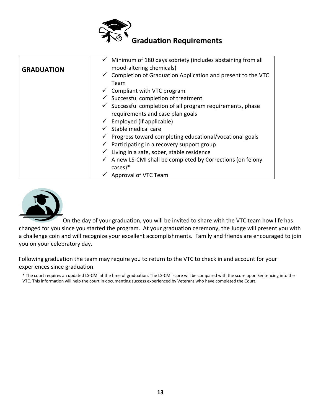

|                   | Minimum of 180 days sobriety (includes abstaining from all               |
|-------------------|--------------------------------------------------------------------------|
| <b>GRADUATION</b> | mood-altering chemicals)                                                 |
|                   | $\checkmark$ Completion of Graduation Application and present to the VTC |
|                   | Team                                                                     |
|                   | $\checkmark$ Compliant with VTC program                                  |
|                   | $\checkmark$ Successful completion of treatment                          |
|                   | $\checkmark$ Successful completion of all program requirements, phase    |
|                   | requirements and case plan goals                                         |
|                   | $\checkmark$ Employed (if applicable)                                    |
|                   | $\checkmark$ Stable medical care                                         |
|                   | $\checkmark$ Progress toward completing educational/vocational goals     |
|                   | $\checkmark$ Participating in a recovery support group                   |
|                   | $\checkmark$ Living in a safe, sober, stable residence                   |
|                   | $\checkmark$ A new LS-CMI shall be completed by Corrections (on felony   |
|                   | $cases)*$                                                                |
|                   | Approval of VTC Team                                                     |



On the day of your graduation, you will be invited to share with the VTC team how life has changed for you since you started the program. At your graduation ceremony, the Judge will present you with a challenge coin and will recognize your excellent accomplishments. Family and friends are encouraged to join you on your celebratory day.

Following graduation the team may require you to return to the VTC to check in and account for your experiences since graduation.

\* The court requires an updated LS-CMI at the time of graduation. The LS-CMI score will be compared with the score upon Sentencing into the VTC. This information will help the court in documenting success experienced by Veterans who have completed the Court.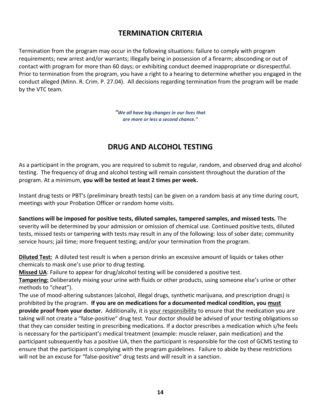# **TERMINATION CRITERIA**

Termination from the program may occur in the following situations: failure to comply with program requirements; new arrest and/or warrants; illegally being in possession of a firearm; absconding or out of contact with program for more than 60 days; or exhibiting conduct deemed inappropriate or disrespectful. Prior to termination from the program, you have a right to a hearing to determine whether you engaged in the conduct alleged (Minn. R. Crim. P. 27.04). All decisions regarding termination from the program will be made by the VTC team.

> *"We all have big changes in our lives that are more or less a second chance."*

# **DRUG AND ALCOHOL TESTING**

As a participant in the program, you are required to submit to regular, random, and observed drug and alcohol testing. The frequency of drug and alcohol testing will remain consistent throughout the duration of the program. At a minimum, **you will be tested at least 2 times per week.**

Instant drug tests or PBT's (preliminary breath tests) can be given on a random basis at any time during court, meetings with your Probation Officer or random home visits.

**Sanctions will be imposed for positive tests, diluted samples, tampered samples, and missed tests.** The severity will be determined by your admission or omission of chemical use. Continued positive tests, diluted tests, missed tests or tampering with tests may result in any of the following: loss of sober date; community service hours; jail time; more frequent testing; and/or your termination from the program.

**Diluted Test:** A diluted test result is when a person drinks an excessive amount of liquids or takes other chemicals to mask one's use prior to drug testing.

**Missed UA**: Failure to appear for drug/alcohol testing will be considered a positive test.

**Tampering:** Deliberately mixing your urine with fluids or other products, using someone else's urine or other methods to "cheat").

The use of mood-altering substances (alcohol, illegal drugs, synthetic marijuana, and prescription drugs) is prohibited by the program. **If you are on medications for a documented medical condition, you must provide proof from your doctor.** Additionally, it is your responsibility to ensure that the medication you are taking will not create a "false-positive" drug test. Your doctor should be advised of your testing obligations so that they can consider testing in prescribing medications. If a doctor prescribes a medication which s/he feels is necessary for the participant's medical treatment (example: muscle relaxer, pain medication) and the participant subsequently has a positive UA, then the participant is responsible for the cost of GCMS testing to ensure that the participant is complying with the program guidelines. Failure to abide by these restrictions will not be an excuse for "false-positive" drug tests and will result in a sanction.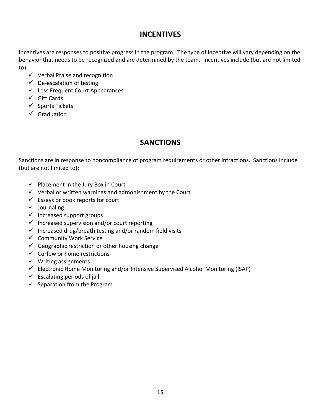# **INCENTIVES**

Incentives are responses to positive progress in the program. The type of incentive will vary depending on the behavior that needs to be recognized and are determined by the team. Incentives include (but are not limited to):

- $\checkmark$  Verbal Praise and recognition
- $\checkmark$  De-escalation of testing
- $\checkmark$  Less Frequent Court Appearances
- $\checkmark$  Gift Cards
- $\checkmark$  Sports Tickets
- $\checkmark$  Graduation

# **SANCTIONS**

Sanctions are in response to noncompliance of program requirements or other infractions. Sanctions include (but are not limited to):

- $\checkmark$  Placement in the Jury Box in Court
- $\checkmark$  Verbal or written warnings and admonishment by the Court
- $\checkmark$  Essays or book reports for court
- $\checkmark$  Journaling
- $\checkmark$  Increased support groups
- $\checkmark$  Increased supervision and/or court reporting
- $\checkmark$  Increased drug/breath testing and/or random field visits
- $\checkmark$  Community Work Service
- $\checkmark$  Geographic restriction or other housing change
- $\checkmark$  Curfew or home restrictions
- $\checkmark$  Writing assignments
- $\checkmark$  Electronic Home Monitoring and/or Intensive Supervised Alcohol Monitoring (ISAP)
- $\checkmark$  Escalating periods of jail
- $\checkmark$  Separation from the Program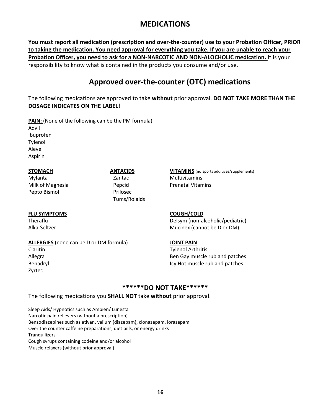# **MEDICATIONS**

**You must report all medication (prescription and over-the-counter) use to your Probation Officer, PRIOR to taking the medication. You need approval for everything you take. If you are unable to reach your Probation Officer, you need to ask for a NON-NARCOTIC AND NON-ALOCHOLIC medication.** It is your responsibility to know what is contained in the products you consume and/or use.

# **Approved over-the-counter (OTC) medications**

The following medications are approved to take **without** prior approval. **DO NOT TAKE MORE THAN THE DOSAGE INDICATES ON THE LABEL!**

**PAIN:** (None of the following can be the PM formula) Advil Ibuprofen Tylenol Aleve Aspirin

Mylanta Zantac Multivitamins Milk of Magnesia **Pepcid** Pepcid Prenatal Vitamins Pepto Bismol **Prilosec** 

#### **STOMACH ANTACIDS VITAMINS** (no sports additives/supplements)

Tums/Rolaids

#### **FLU SYMPTOMS COUGH/COLD**

**ALLERGIES** (none can be D or DM formula) **JOINT PAIN**

Zyrtec

Theraflu Delsym (non-alcoholic/pediatric) Alka-Seltzer Mucinex (cannot be D or DM)

Claritin Tylenol Arthritis Allegra Ben Gay muscle rub and patches and patches and patches and patches and patches and patches and patches Benadryl Icy Hot muscle rub and patches

#### **\*\*\*\*\*\*DO NOT TAKE\*\*\*\*\*\***

The following medications you **SHALL NOT** take **without** prior approval.

Sleep Aids/ Hypnotics such as Ambien/ Lunesta Narcotic pain relievers (without a prescription) Benzodiazepines such as ativan, valium (diazepam), clonazepam, lorazepam Over the counter caffeine preparations, diet pills, or energy drinks **Tranquilizers** Cough syrups containing codeine and/or alcohol Muscle relaxers (without prior approval)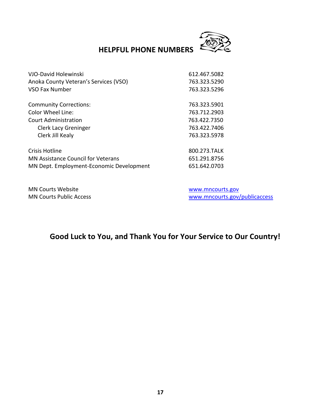

# **HELPFUL PHONE NUMBERS**

| VJO-David Holewinski                      | 612.467.5082 |
|-------------------------------------------|--------------|
| Anoka County Veteran's Services (VSO)     | 763.323.5290 |
| VSO Fax Number                            | 763.323.5296 |
| <b>Community Corrections:</b>             | 763.323.5901 |
| Color Wheel Line:                         | 763.712.2903 |
| Court Administration                      | 763.422.7350 |
| <b>Clerk Lacy Greninger</b>               | 763.422.7406 |
| Clerk Jill Kealy                          | 763.323.5978 |
| Crisis Hotline                            | 800.273.TALK |
| <b>MN Assistance Council for Veterans</b> | 651.291.8756 |
| MN Dept. Employment-Economic Development  | 651.642.0703 |

MN Courts Website [www.mncourts.gov](http://www.mncourts.gov/)

MN Courts Public Access and the material state [www.mncourts.gov/publicaccess](http://www.mncourts.gov/publicaccess)

# **Good Luck to You, and Thank You for Your Service to Our Country!**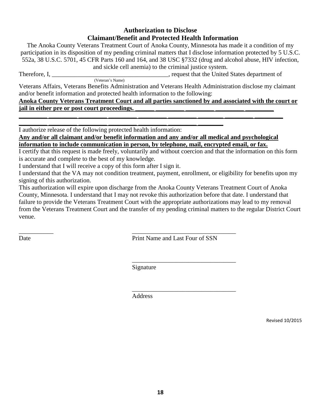#### **Authorization to Disclose Claimant/Benefit and Protected Health Information**

The Anoka County Veterans Treatment Court of Anoka County, Minnesota has made it a condition of my participation in its disposition of my pending criminal matters that I disclose information protected by 5 U.S.C. 552a, 38 U.S.C. 5701, 45 CFR Parts 160 and 164, and 38 USC §7332 (drug and alcohol abuse, HIV infection, and sickle cell anemia) to the criminal justice system.

Therefore, I, the same states of the United States department of the United States department of

Veterans Affairs, Veterans Benefits Administration and Veterans Health Administration disclose my claimant and/or benefit information and protected health information to the following:

**Anoka County Veterans Treatment Court and all parties sanctioned by and associated with the court or**  jail in either pre or post court proceedings.

**\_\_\_\_\_\_\_\_\_ \_\_\_\_\_\_\_\_\_ \_\_\_\_\_\_\_\_\_ \_\_\_\_\_\_\_\_\_ \_\_\_\_\_\_\_\_\_ \_\_\_\_\_\_\_\_\_ \_\_\_\_\_\_\_\_** I authorize release of the following protected health information:

(Veteran's Name)

**Any and/or all claimant and/or benefit information and any and/or all medical and psychological information to include communication in person, by telephone, mail, encrypted email, or fax.**

**\_\_\_\_\_\_\_\_\_ \_\_\_\_\_\_\_\_\_ \_\_\_\_\_\_\_\_\_ \_\_\_\_\_\_\_\_\_ \_\_\_\_\_\_\_\_\_ \_\_\_\_\_\_\_\_\_ \_\_\_\_\_\_\_\_ \_\_\_\_\_\_\_\_\_ \_\_\_\_\_\_\_\_\_** 

I certify that this request is made freely, voluntarily and without coercion and that the information on this form is accurate and complete to the best of my knowledge.

I understand that I will receive a copy of this form after I sign it.

I understand that the VA may not condition treatment, payment, enrollment, or eligibility for benefits upon my signing of this authorization.

This authorization will expire upon discharge from the Anoka County Veterans Treatment Court of Anoka County, Minnesota. I understand that I may not revoke this authorization before that date. I understand that failure to provide the Veterans Treatment Court with the appropriate authorizations may lead to my removal from the Veterans Treatment Court and the transfer of my pending criminal matters to the regular District Court venue.

 $\overline{\phantom{a}}$  , and the contract of the contract of the contract of the contract of the contract of the contract of the contract of the contract of the contract of the contract of the contract of the contract of the contrac Date Print Name and Last Four of SSN

\_\_\_\_\_\_\_\_\_\_\_\_\_\_\_\_\_\_\_\_\_\_\_\_\_\_\_\_\_\_\_\_\_

Signature

\_\_\_\_\_\_\_\_\_\_\_\_\_\_\_\_\_\_\_\_\_\_\_\_\_\_\_\_\_\_\_\_\_ **Address** 

Revised 10/2015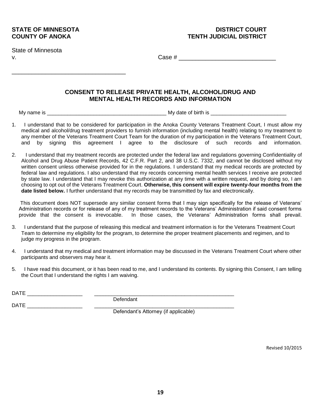\_\_\_\_\_\_\_\_\_\_\_\_\_\_\_\_\_\_\_\_\_\_\_\_\_\_\_\_\_\_\_\_\_\_

State of Minnesota

v. Case # \_\_\_\_\_\_\_\_\_\_\_\_\_\_\_\_\_\_\_\_\_\_\_\_\_\_\_\_\_

#### **CONSENT TO RELEASE PRIVATE HEALTH, ALCOHOL/DRUG AND MENTAL HEALTH RECORDS AND INFORMATION**

My name is \_\_\_\_\_\_\_\_\_\_\_\_\_\_\_\_\_\_\_\_\_\_\_\_\_\_\_\_\_\_\_\_\_\_\_\_\_\_\_\_\_ My date of birth is \_\_\_\_\_\_\_\_\_\_\_\_\_\_\_\_\_\_\_\_\_\_\_\_\_\_

- 1. I understand that to be considered for participation in the Anoka County Veterans Treatment Court, I must allow my medical and alcohol/drug treatment providers to furnish information (including mental health) relating to my treatment to any member of the Veterans Treatment Court Team for the duration of my participation in the Veterans Treatment Court, and by signing this agreement I agree to the disclosure of such records and information.
- 2. I understand that my treatment records are protected under the federal law and regulations governing Confidentiality of Alcohol and Drug Abuse Patient Records, 42 C.F.R. Part 2, and 38 U.S.C. 7332, and cannot be disclosed without my written consent unless otherwise provided for in the regulations. I understand that my medical records are protected by federal law and regulations. I also understand that my records concerning mental health services I receive are protected by state law. I understand that I may revoke this authorization at any time with a written request, and by doing so, I am choosing to opt out of the Veterans Treatment Court. **Otherwise, this consent will expire twenty-four months from the date listed below.** I further understand that my records may be transmitted by fax and electronically.

This document does NOT supersede any similar consent forms that I may sign specifically for the release of Veterans' Administration records or for release of any of my treatment records to the Veterans' Administration if said consent forms provide that the consent is irrevocable. In those cases, the Veterans' Administration forms shall prevail.

- 3. I understand that the purpose of releasing this medical and treatment information is for the Veterans Treatment Court Team to determine my eligibility for the program, to determine the proper treatment placements and regimen, and to judge my progress in the program.
- 4. I understand that my medical and treatment information may be discussed in the Veterans Treatment Court where other participants and observers may hear it.
- 5. I have read this document, or it has been read to me, and I understand its contents. By signing this Consent, I am telling the Court that I understand the rights I am waiving.

DATE \_\_\_\_\_\_\_\_\_\_\_\_\_\_\_\_\_\_\_ \_\_\_\_\_\_\_\_\_\_\_\_\_\_\_\_\_\_\_\_\_\_\_\_\_\_\_\_\_\_\_\_\_\_\_\_\_\_\_\_\_\_\_\_\_\_\_\_

DATE  $\Box$ 

Defendant

Defendant's Attorney (if applicable)

Revised 10/2015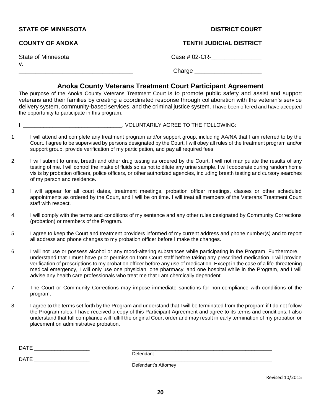#### **STATE OF MINNESOTA DISTRICT COURT AND ALL COUPS OF MINNESOTA**

v.

#### **COUNTY OF ANOKA TENTH JUDICIAL DISTRICT**

State of Minnesota Case # 02-CR-\_\_\_\_\_\_\_\_\_\_\_\_\_\_\_

\_\_\_\_\_\_\_\_\_\_\_\_\_\_\_\_\_\_\_\_\_\_\_\_\_\_\_\_\_\_\_\_\_\_ Charge \_\_\_\_\_\_\_\_\_\_\_\_\_\_\_\_\_\_\_\_

#### **Anoka County Veterans Treatment Court Participant Agreement**

The purpose of the Anoka County Veterans Treatment Court is to promote public safety and assist and support veterans and their families by creating a coordinated response through collaboration with the veteran's service delivery system, community-based services, and the criminal justice system. I have been offered and have accepted the opportunity to participate in this program.

#### I, \_\_\_\_\_\_\_\_\_\_\_\_\_\_\_\_\_\_\_\_\_\_\_\_\_\_\_\_\_\_\_\_, VOLUNTARILY AGREE TO THE FOLLOWING:

- 1. I will attend and complete any treatment program and/or support group, including AA/NA that I am referred to by the Court. I agree to be supervised by persons designated by the Court. I will obey all rules of the treatment program and/or support group, provide verification of my participation, and pay all required fees.
- 2. I will submit to urine, breath and other drug testing as ordered by the Court. I will not manipulate the results of any testing of me. I will control the intake of fluids so as not to dilute any urine sample. I will cooperate during random home visits by probation officers, police officers, or other authorized agencies, including breath testing and cursory searches of my person and residence.
- 3. I will appear for all court dates, treatment meetings, probation officer meetings, classes or other scheduled appointments as ordered by the Court, and I will be on time. I will treat all members of the Veterans Treatment Court staff with respect.
- 4. I will comply with the terms and conditions of my sentence and any other rules designated by Community Corrections (probation) or members of the Program.
- 5. I agree to keep the Court and treatment providers informed of my current address and phone number(s) and to report all address and phone changes to my probation officer before I make the changes.
- 6. I will not use or possess alcohol or any mood-altering substances while participating in the Program. Furthermore, I understand that I must have prior permission from Court staff before taking any prescribed medication. I will provide verification of prescriptions to my probation officer before any use of medication. Except in the case of a life-threatening medical emergency, I will only use one physician, one pharmacy, and one hospital while in the Program, and I will advise any health care professionals who treat me that I am chemically dependent.
- 7. The Court or Community Corrections may impose immediate sanctions for non-compliance with conditions of the program.
- 8. I agree to the terms set forth by the Program and understand that I will be terminated from the program if I do not follow the Program rules. I have received a copy of this Participant Agreement and agree to its terms and conditions. I also understand that full compliance will fulfill the original Court order and may result in early termination of my probation or placement on administrative probation.

Defendant

DATE  $\Box$ 

Defendant's Attorney

Revised 10/2015